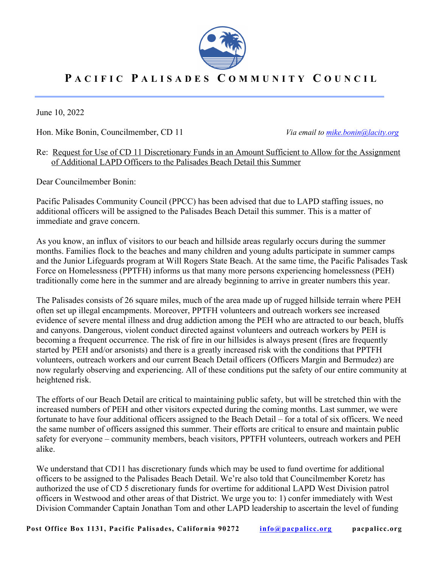

## **P ACIFIC P A L I SAD ES C O M M U N I TY C O U N CIL**

June 10, 2022

Hon. Mike Bonin, Councilmember, CD 11 *Via email to mike.bonin@lacity.org*

## Re: Request for Use of CD 11 Discretionary Funds in an Amount Sufficient to Allow for the Assignment of Additional LAPD Officers to the Palisades Beach Detail this Summer

Dear Councilmember Bonin:

Pacific Palisades Community Council (PPCC) has been advised that due to LAPD staffing issues, no additional officers will be assigned to the Palisades Beach Detail this summer. This is a matter of immediate and grave concern.

As you know, an influx of visitors to our beach and hillside areas regularly occurs during the summer months. Families flock to the beaches and many children and young adults participate in summer camps and the Junior Lifeguards program at Will Rogers State Beach. At the same time, the Pacific Palisades Task Force on Homelessness (PPTFH) informs us that many more persons experiencing homelessness (PEH) traditionally come here in the summer and are already beginning to arrive in greater numbers this year.

The Palisades consists of 26 square miles, much of the area made up of rugged hillside terrain where PEH often set up illegal encampments. Moreover, PPTFH volunteers and outreach workers see increased evidence of severe mental illness and drug addiction among the PEH who are attracted to our beach, bluffs and canyons. Dangerous, violent conduct directed against volunteers and outreach workers by PEH is becoming a frequent occurrence. The risk of fire in our hillsides is always present (fires are frequently started by PEH and/or arsonists) and there is a greatly increased risk with the conditions that PPTFH volunteers, outreach workers and our current Beach Detail officers (Officers Margin and Bermudez) are now regularly observing and experiencing. All of these conditions put the safety of our entire community at heightened risk.

The efforts of our Beach Detail are critical to maintaining public safety, but will be stretched thin with the increased numbers of PEH and other visitors expected during the coming months. Last summer, we were fortunate to have four additional officers assigned to the Beach Detail – for a total of six officers. We need the same number of officers assigned this summer. Their efforts are critical to ensure and maintain public safety for everyone – community members, beach visitors, PPTFH volunteers, outreach workers and PEH alike.

We understand that CD11 has discretionary funds which may be used to fund overtime for additional officers to be assigned to the Palisades Beach Detail. We're also told that Councilmember Koretz has authorized the use of CD 5 discretionary funds for overtime for additional LAPD West Division patrol officers in Westwood and other areas of that District. We urge you to: 1) confer immediately with West Division Commander Captain Jonathan Tom and other LAPD leadership to ascertain the level of funding